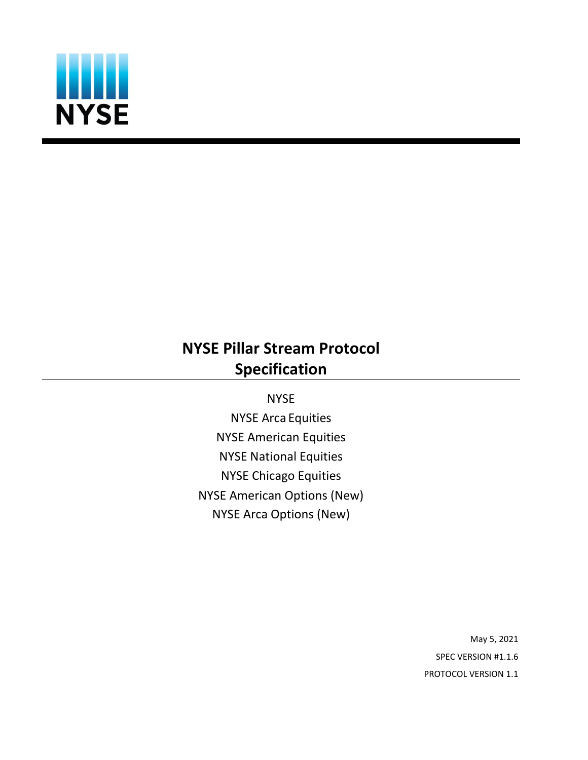

# **NYSE Pillar Stream Protocol Specification**

**NYSE** 

NYSE Arca Equities NYSE American Equities NYSE National Equities NYSE Chicago Equities NYSE American Options (New) NYSE Arca Options (New)

> May 5, 2021 SPEC VERSION #1.1.6 PROTOCOL VERSION 1.1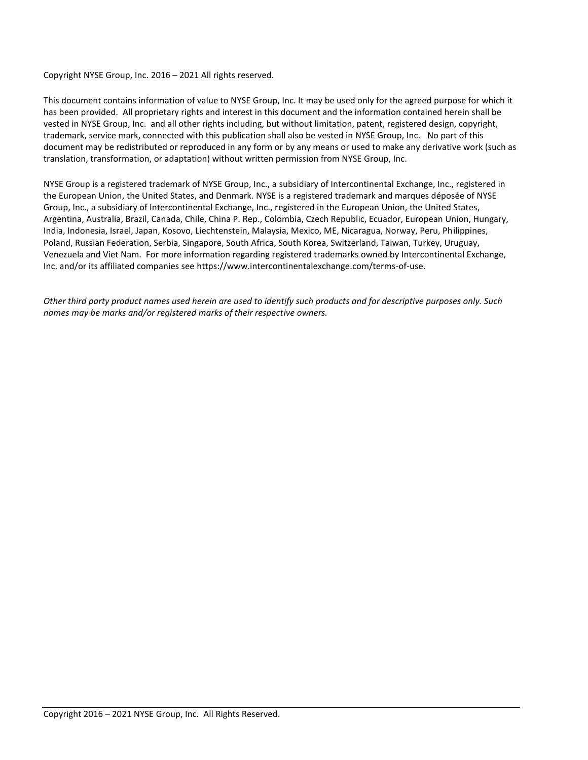Copyright NYSE Group, Inc. 2016 – 2021 All rights reserved.

This document contains information of value to NYSE Group, Inc. It may be used only for the agreed purpose for which it has been provided. All proprietary rights and interest in this document and the information contained herein shall be vested in NYSE Group, Inc. and all other rights including, but without limitation, patent, registered design, copyright, trademark, service mark, connected with this publication shall also be vested in NYSE Group, Inc. No part of this document may be redistributed or reproduced in any form or by any means or used to make any derivative work (such as translation, transformation, or adaptation) without written permission from NYSE Group, Inc.

NYSE Group is a registered trademark of NYSE Group, Inc., a subsidiary of Intercontinental Exchange, Inc., registered in the European Union, the United States, and Denmark. NYSE is a registered trademark and marques déposée of NYSE Group, Inc., a subsidiary of Intercontinental Exchange, Inc., registered in the European Union, the United States, Argentina, Australia, Brazil, Canada, Chile, China P. Rep., Colombia, Czech Republic, Ecuador, European Union, Hungary, India, Indonesia, Israel, Japan, Kosovo, Liechtenstein, Malaysia, Mexico, ME, Nicaragua, Norway, Peru, Philippines, Poland, Russian Federation, Serbia, Singapore, South Africa, South Korea, Switzerland, Taiwan, Turkey, Uruguay, Venezuela and Viet Nam. For more information regarding registered trademarks owned by Intercontinental Exchange, Inc. and/or its affiliated companies see https://www.intercontinentalexchange.com/terms-of-use.

*Other third party product names used herein are used to identify such products and for descriptive purposes only. Such names may be marks and/or registered marks of their respective owners.*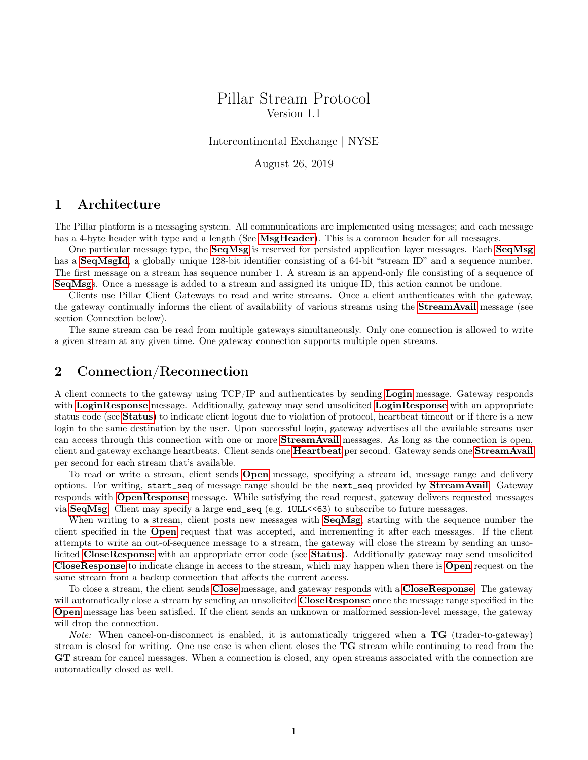#### Pillar Stream Protocol Version 1.1

Intercontinental Exchange | NYSE

August 26, 2019

#### 1 Architecture

The Pillar platform is a messaging system. All communications are implemented using messages; and each message has a 4-byte header with type and a length (See [MsgHeader](#page-3-0)). This is a common header for all messages.

One particular message type, the [SeqMsg](#page-6-0) is reserved for persisted application layer messages. Each [SeqMsg](#page-6-0) has a **[SeqMsgId](#page-3-1)**, a globally unique 128-bit identifier consisting of a 64-bit "stream ID" and a sequence number. The first message on a stream has sequence number 1. A stream is an append-only file consisting of a sequence of [SeqMsg](#page-6-0)s. Once a message is added to a stream and assigned its unique ID, this action cannot be undone.

Clients use Pillar Client Gateways to read and write streams. Once a client authenticates with the gateway, the gateway continually informs the client of availability of various streams using the [StreamAvail](#page-4-0) message (see section Connection below).

The same stream can be read from multiple gateways simultaneously. Only one connection is allowed to write a given stream at any given time. One gateway connection supports multiple open streams.

#### 2 Connection/Reconnection

A client connects to the gateway using TCP/IP and authenticates by sending [Login](#page-4-1) message. Gateway responds with [LoginResponse](#page-4-2) message. Additionally, gateway may send unsolicited LoginResponse with an appropriate status code (see [Status](#page-3-2)) to indicate client logout due to violation of protocol, heartbeat timeout or if there is a new login to the same destination by the user. Upon successful login, gateway advertises all the available streams user can access through this connection with one or more [StreamAvail](#page-4-0) messages. As long as the connection is open, client and gateway exchange heartbeats. Client sends one **[Heartbeat](#page-5-0)** per second. Gateway sends one **[StreamAvail](#page-4-0)** per second for each stream that's available.

To read or write a stream, client sends [Open](#page-5-1) message, specifying a stream id, message range and delivery options. For writing, start\_seq of message range should be the next\_seq provided by [StreamAvail](#page-4-0). Gateway responds with [OpenResponse](#page-5-2) message. While satisfying the read request, gateway delivers requested messages via [SeqMsg](#page-6-0). Client may specify a large end\_seq (e.g. 1ULL<<63) to subscribe to future messages.

When writing to a stream, client posts new messages with **[SeqMsg](#page-6-0)**, starting with the sequence number the client specified in the [Open](#page-5-1) request that was accepted, and incrementing it after each messages. If the client attempts to write an out-of-sequence message to a stream, the gateway will close the stream by sending an unsolicited [CloseResponse](#page-6-1) with an appropriate error code (see [Status](#page-3-2)). Additionally gateway may send unsolicited [CloseResponse](#page-6-1) to indicate change in access to the stream, which may happen when there is [Open](#page-5-1) request on the same stream from a backup connection that affects the current access.

To close a stream, the client sends [Close](#page-5-3) message, and gateway responds with a [CloseResponse](#page-6-1). The gateway will automatically close a stream by sending an unsolicited **[CloseResponse](#page-6-1)** once the message range specified in the [Open](#page-5-1) message has been satisfied. If the client sends an unknown or malformed session-level message, the gateway will drop the connection.

*Note:* When cancel-on-disconnect is enabled, it is automatically triggered when a  $TG$  (trader-to-gateway) stream is closed for writing. One use case is when client closes the TG stream while continuing to read from the GT stream for cancel messages. When a connection is closed, any open streams associated with the connection are automatically closed as well.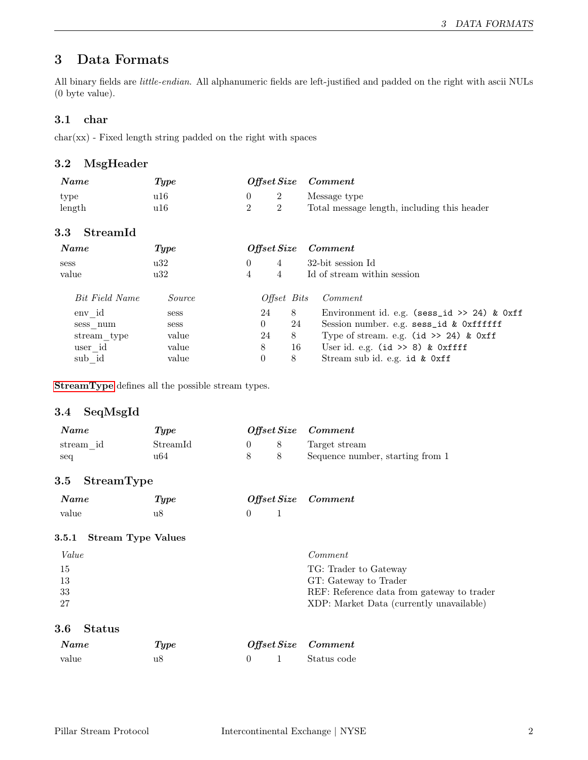### 3 Data Formats

All binary fields are little-endian. All alphanumeric fields are left-justified and padded on the right with ascii NULs (0 byte value).

#### 3.1 char

char(xx) - Fixed length string padded on the right with spaces

#### <span id="page-3-0"></span>3.2 MsgHeader

| Name           | $\bm{Type}$ | Offset Size Comment |  |                                                             |
|----------------|-------------|---------------------|--|-------------------------------------------------------------|
| type<br>length | u16<br>u16- |                     |  | Message type<br>Total message length, including this header |

#### 3.3 StreamId

| Name           | <b>Type</b> |          | $\it{Offset Size}$ |                             | Comment                                       |
|----------------|-------------|----------|--------------------|-----------------------------|-----------------------------------------------|
| <b>Sess</b>    | u32         | $\Omega$ | 4                  |                             | 32-bit session Id                             |
| value          | u32         | 4        | $\overline{4}$     | Id of stream within session |                                               |
| Bit Field Name | Source      |          | <i>Offset Bits</i> |                             | Comment                                       |
| env id         | <b>Sess</b> |          | 24                 | 8                           | Environment id. e.g. (sess_id >> 24) & $0xff$ |
| sess num       | <b>Sess</b> |          | $\theta$           | 24                          | Session number. e.g. sess_id & Oxffffff       |
| stream type    | value       |          | 24                 | 8                           | Type of stream. e.g. $(id \gg 24)$ & $0xff$   |
| user id        | value       |          | 8                  | 16                          | User id. e.g. $(id \gg 8)$ & Oxffff           |
| sub id         | value       |          | $\theta$           | 8                           | Stream sub id. e.g. id & Oxff                 |

[StreamType](#page-3-3) defines all the possible stream types.

#### <span id="page-3-1"></span>3.4 SeqMsgId

| <b>Name</b> | $\bm{Type}$ |  | Offset Size Comment              |
|-------------|-------------|--|----------------------------------|
| stream id   | Streamld    |  | Target stream                    |
| seq         | 1164        |  | Sequence number, starting from 1 |

#### <span id="page-3-3"></span>3.5 StreamType

| Name  | Type | Offset Size Comment |  |
|-------|------|---------------------|--|
| value | u8   |                     |  |

#### 3.5.1 Stream Type Values

| Value | Comment                                    |
|-------|--------------------------------------------|
| -15   | TG: Trader to Gateway                      |
| 13    | GT: Gateway to Trader                      |
| 33    | REF: Reference data from gateway to trader |
| -27   | XDP: Market Data (currently unavailable)   |

#### <span id="page-3-2"></span>3.6 Status

| Name  | Type |  | Offset Size Comment |
|-------|------|--|---------------------|
| value | u8   |  | Status code         |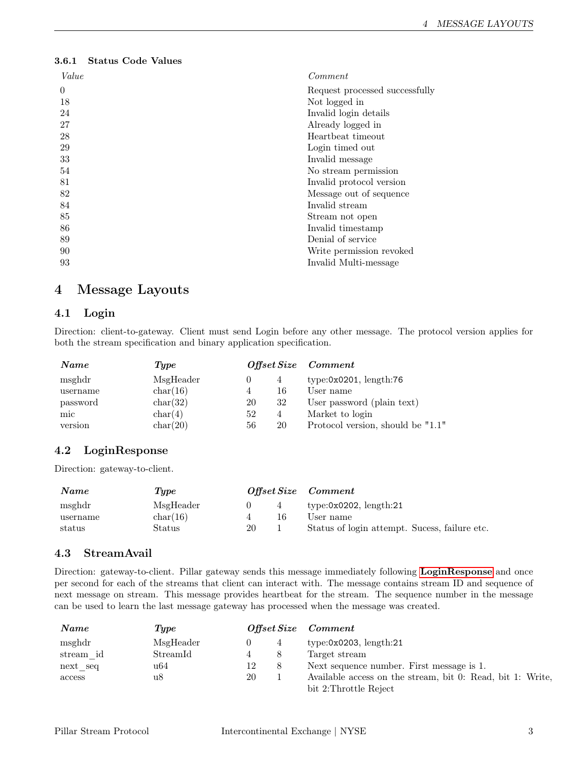#### 3.6.1 Status Code Values

| Value    | Comment                        |
|----------|--------------------------------|
| $\Omega$ | Request processed successfully |
| 18       | Not logged in                  |
| 24       | Invalid login details          |
| 27       | Already logged in              |
| 28       | Heartbeat timeout              |
| 29       | Login timed out                |
| 33       | Invalid message                |
| 54       | No stream permission           |
| 81       | Invalid protocol version       |
| 82       | Message out of sequence        |
| 84       | Invalid stream                 |
| 85       | Stream not open                |
| 86       | Invalid timestamp              |
| 89       | Denial of service              |
| 90       | Write permission revoked       |
| 93       | Invalid Multi-message          |

### 4 Message Layouts

#### <span id="page-4-1"></span>4.1 Login

Direction: client-to-gateway. Client must send Login before any other message. The protocol version applies for both the stream specification and binary application specification.

| Name     | Type      | Offset Size Comment |                |                                   |
|----------|-----------|---------------------|----------------|-----------------------------------|
| msghdr   | MsgHeader |                     | 4              | type:0x0201, length:76            |
| username | char(16)  | 4                   | 16             | User name                         |
| password | char(32)  | 20                  | 32             | User password (plain text)        |
| mic      | char(4)   | 52                  | $\overline{4}$ | Market to login                   |
| version  | char(20)  | 56                  | 20             | Protocol version, should be "1.1" |

#### <span id="page-4-2"></span>4.2 LoginResponse

Direction: gateway-to-client.

| Name     | $\it{Type}$ |    |    | Offset Size Comment                           |
|----------|-------------|----|----|-----------------------------------------------|
| msghdr   | MsgHeader   |    | 4  | type:0x0202, $length:21$                      |
| username | char(16)    |    | 16 | User name                                     |
| status   | Status      | 20 |    | Status of login attempt. Sucess, failure etc. |

#### <span id="page-4-0"></span>4.3 StreamAvail

Direction: gateway-to-client. Pillar gateway sends this message immediately following [LoginResponse](#page-4-2) and once per second for each of the streams that client can interact with. The message contains stream ID and sequence of next message on stream. This message provides heartbeat for the stream. The sequence number in the message can be used to learn the last message gateway has processed when the message was created.

| Name      | Type      |    | Offset Size Comment                                        |
|-----------|-----------|----|------------------------------------------------------------|
| msghdr    | MsgHeader |    | type: $0x0203$ , length: $21$                              |
| stream id | StreamId  |    | Target stream                                              |
| next seq  | u64       | 12 | Next sequence number. First message is 1.                  |
| access    | u8        | 20 | Available access on the stream, bit 0: Read, bit 1: Write, |
|           |           |    | bit 2: Throttle Reject                                     |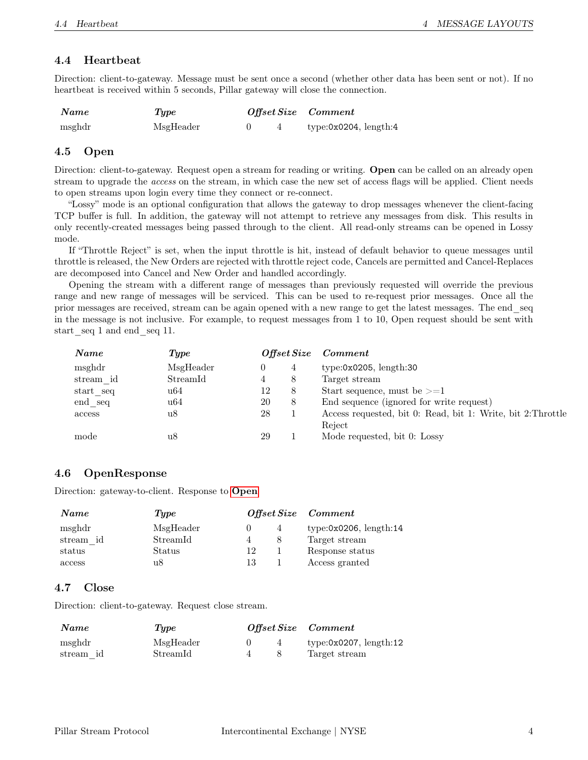#### <span id="page-5-0"></span>4.4 Heartbeat

| Direction: client-to-gateway. Message must be sent once a second (whether other data has been sent or not). If no |  |
|-------------------------------------------------------------------------------------------------------------------|--|
| heartbeat is received within 5 seconds, Pillar gateway will close the connection.                                 |  |

| Name   | Type      |  | Offset Size Comment       |
|--------|-----------|--|---------------------------|
| msghdr | MsgHeader |  | type:0 $x0204$ , length:4 |

#### <span id="page-5-1"></span>4.5 Open

Direction: client-to-gateway. Request open a stream for reading or writing. Open can be called on an already open stream to upgrade the access on the stream, in which case the new set of access flags will be applied. Client needs to open streams upon login every time they connect or re-connect.

"Lossy" mode is an optional configuration that allows the gateway to drop messages whenever the client-facing TCP buffer is full. In addition, the gateway will not attempt to retrieve any messages from disk. This results in only recently-created messages being passed through to the client. All read-only streams can be opened in Lossy mode.

If "Throttle Reject" is set, when the input throttle is hit, instead of default behavior to queue messages until throttle is released, the New Orders are rejected with throttle reject code, Cancels are permitted and Cancel-Replaces are decomposed into Cancel and New Order and handled accordingly.

Opening the stream with a different range of messages than previously requested will override the previous range and new range of messages will be serviced. This can be used to re-request prior messages. Once all the prior messages are received, stream can be again opened with a new range to get the latest messages. The end\_seq in the message is not inclusive. For example, to request messages from 1 to 10, Open request should be sent with start seq 1 and end seq 11.

| Name      | Type      |    | Offset Size | Comment                                                      |
|-----------|-----------|----|-------------|--------------------------------------------------------------|
| msghdr    | MsgHeader |    | 4           | type:0x0205, length:30                                       |
| stream id | StreamId  | 4  | 8           | Target stream                                                |
| start seq | u64       | 12 | 8           | Start sequence, must be $>=1$                                |
| end seq   | u64       | 20 | 8           | End sequence (ignored for write request)                     |
| access    | u8        | 28 |             | Access requested, bit 0: Read, bit 1: Write, bit 2: Throttle |
|           |           |    |             | Reject                                                       |
| mode      | u8        | 29 |             | Mode requested, bit 0: Lossy                                 |
|           |           |    |             |                                                              |

#### <span id="page-5-2"></span>4.6 OpenResponse

Direction: gateway-to-client. Response to [Open](#page-5-1)

| Name      | Type      |    |   | Offset Size Comment    |
|-----------|-----------|----|---|------------------------|
| msghdr    | MsgHeader |    | 4 | type:0x0206, length:14 |
| stream id | StreamId  |    | 8 | Target stream          |
| status    | Status    | 12 |   | Response status        |
| access    | u8        | 13 |   | Access granted         |

#### <span id="page-5-3"></span>4.7 Close

Direction: client-to-gateway. Request close stream.

| <b>Name</b> | Tupe      |   | Offset Size Comment        |
|-------------|-----------|---|----------------------------|
| msghdr      | MsgHeader | 4 | type: $0x0207$ , length:12 |
| stream id   | StreamId  |   | Target stream              |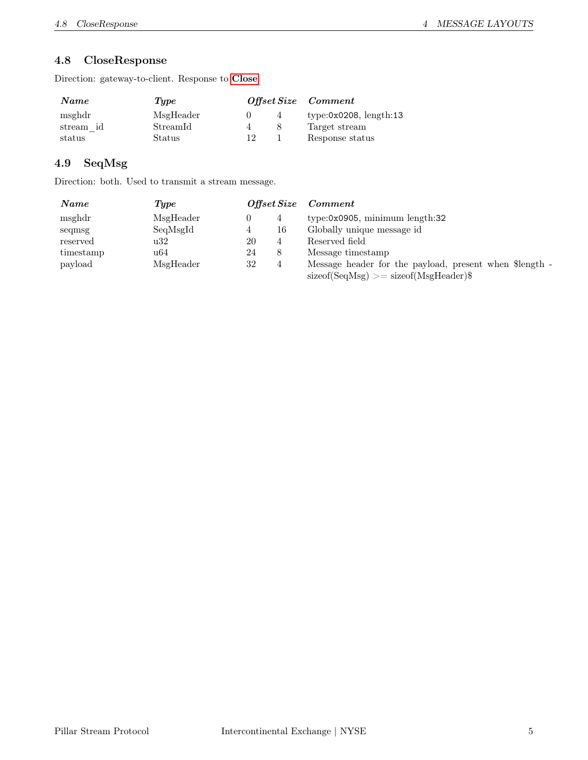#### <span id="page-6-1"></span>4.8 CloseResponse

Direction: gateway-to-client. Response to [Close](#page-5-3)

| <b>Name</b> | Type      |    |              | Offset Size Comment    |
|-------------|-----------|----|--------------|------------------------|
| msghdr      | MsgHeader |    | 4            | type:0x0208, length:13 |
| stream id   | StreamId  |    | $\mathsf{x}$ | Target stream          |
| status      | Status    | 19 |              | Response status        |

#### <span id="page-6-0"></span>4.9 SeqMsg

Direction: both. Used to transmit a stream message.

| Name      | <b>Type</b> | Offset Size |    | Comment                                                                                                                         |
|-----------|-------------|-------------|----|---------------------------------------------------------------------------------------------------------------------------------|
| msghdr    | MsgHeader   |             |    | $type: 0x0905$ , minimum $length: 32$                                                                                           |
| seqmsg    | SeqMsgId    | 4           | 16 | Globally unique message id                                                                                                      |
| reserved  | u32         | 20          | 4  | Reserved field                                                                                                                  |
| timestamp | u64         | 24          | 8  | Message timestamp                                                                                                               |
| payload   | MsgHeader   | 32          |    | Message header for the payload, present when \$length -<br>$\text{sizeof}(\text{SeqMsg}) \geq \text{sizeof}(\text{MsgHeader})\$ |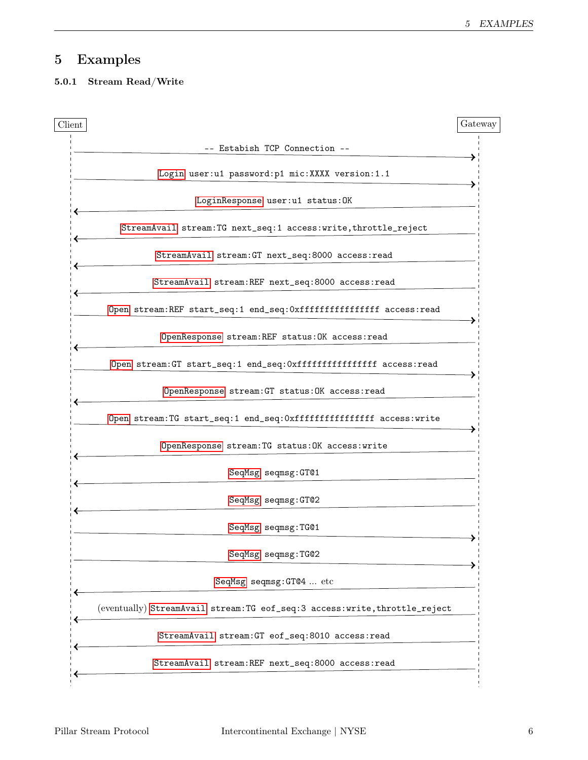## 5 Examples

#### 5.0.1 Stream Read/Write

| Client |                                                                               | Gateway |
|--------|-------------------------------------------------------------------------------|---------|
|        | -- Estabish TCP Connection --                                                 |         |
|        | Login user: u1 password: p1 mic: XXXX version: 1.1                            |         |
|        | LoginResponse user:u1 status: OK                                              |         |
|        | StreamAvail stream: TG next_seq: 1 access: write, throttle_reject             |         |
|        | StreamAvail stream: GT next_seq: 8000 access: read                            |         |
|        | StreamAvail stream: REF next_seq: 8000 access: read                           |         |
|        | Open stream: REF start_seq:1 end_seq: 0xffffffffffffffff access: read         |         |
|        | OpenResponse stream: REF status: OK access: read                              |         |
|        | Open stream: GT start_seq:1 end_seq: Oxfffffffffffffffff access: read         |         |
|        | OpenResponse stream: GT status: OK access: read                               |         |
|        | Open stream: TG start_seq: 1 end_seq: Oxfffffffffffffffff access: write       |         |
|        | OpenResponse stream: TG status: OK access: write                              |         |
|        | SeqMsg seqmsg: GT01                                                           |         |
|        | SeqMsg seqmsg: GT02                                                           |         |
|        | SeqMsg seqmsg:TG01                                                            |         |
|        | SeqMsg seqmsg:TG02                                                            |         |
|        | SeqMsg seqmsg: GT@4  etc                                                      |         |
|        | (eventually) StreamAvail stream: TG eof_seq: 3 access: write, throttle_reject |         |
|        | StreamAvail stream: GT eof_seq: 8010 access: read                             |         |
|        | StreamAvail stream: REF next_seq: 8000 access: read                           |         |